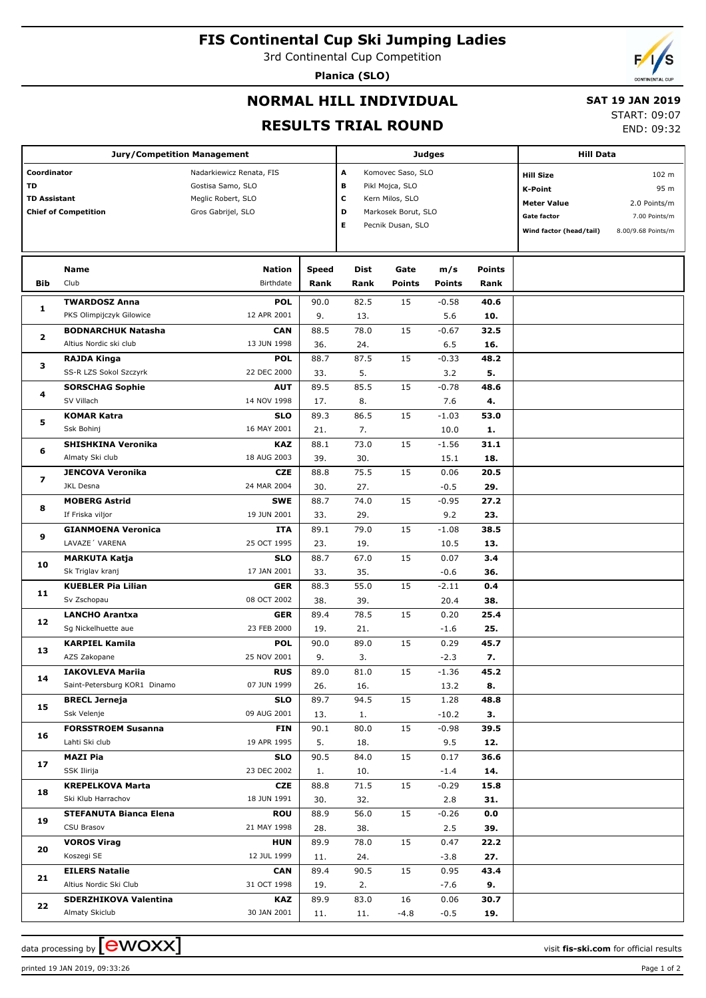# **FIS Continental Cup Ski Jumping Ladies**

3rd Continental Cup Competition

**Planica (SLO)**

### **NORMAL HILL INDIVIDUAL**

### **SAT 19 JAN 2019**

START: 09:07 END: 09:32

## **RESULTS TRIAL ROUND**

| <b>Jury/Competition Management</b>                                      |                              |                                                                                           |              |                                                                                                                              |               | <b>Judges</b> | <b>Hill Data</b> |                                                                                                    |                                                                      |
|-------------------------------------------------------------------------|------------------------------|-------------------------------------------------------------------------------------------|--------------|------------------------------------------------------------------------------------------------------------------------------|---------------|---------------|------------------|----------------------------------------------------------------------------------------------------|----------------------------------------------------------------------|
| Coordinator<br>TD<br><b>TD Assistant</b><br><b>Chief of Competition</b> |                              | Nadarkiewicz Renata, FIS<br>Gostisa Samo, SLO<br>Meglic Robert, SLO<br>Gros Gabrijel, SLO |              | A<br>Komovec Saso, SLO<br>в<br>Pikl Mojca, SLO<br>c<br>Kern Milos, SLO<br>D<br>Markosek Borut, SLO<br>E<br>Pecnik Dusan, SLO |               |               |                  | <b>Hill Size</b><br><b>K-Point</b><br><b>Meter Value</b><br>Gate factor<br>Wind factor (head/tail) | 102 m<br>95 m<br>2.0 Points/m<br>7.00 Points/m<br>8.00/9.68 Points/m |
|                                                                         | Name                         | Nation                                                                                    | <b>Speed</b> | Dist                                                                                                                         | Gate          | m/s           | <b>Points</b>    |                                                                                                    |                                                                      |
| Bib                                                                     | Club                         | Birthdate                                                                                 | Rank         | Rank                                                                                                                         | <b>Points</b> | <b>Points</b> | Rank             |                                                                                                    |                                                                      |
|                                                                         | <b>TWARDOSZ Anna</b>         | <b>POL</b>                                                                                | 90.0         | 82.5                                                                                                                         | 15            | $-0.58$       | 40.6             |                                                                                                    |                                                                      |
| 1                                                                       | PKS Olimpijczyk Gilowice     | 12 APR 2001                                                                               | 9.           | 13.                                                                                                                          |               | 5.6           | 10.              |                                                                                                    |                                                                      |
| 2                                                                       | <b>BODNARCHUK Natasha</b>    | <b>CAN</b>                                                                                | 88.5         | 78.0                                                                                                                         | 15            | $-0.67$       | 32.5             |                                                                                                    |                                                                      |
|                                                                         | Altius Nordic ski club       | 13 JUN 1998                                                                               | 36.          | 24.                                                                                                                          |               | 6.5           | 16.              |                                                                                                    |                                                                      |
| з                                                                       | RAJDA Kinga                  | <b>POL</b>                                                                                | 88.7         | 87.5                                                                                                                         | 15            | $-0.33$       | 48.2             |                                                                                                    |                                                                      |
|                                                                         | SS-R LZS Sokol Szczyrk       | 22 DEC 2000                                                                               | 33.          | 5.                                                                                                                           |               | 3.2           | 5.               |                                                                                                    |                                                                      |
| 4                                                                       | <b>SORSCHAG Sophie</b>       | <b>AUT</b>                                                                                | 89.5         | 85.5                                                                                                                         | 15            | $-0.78$       | 48.6             |                                                                                                    |                                                                      |
|                                                                         | SV Villach                   | 14 NOV 1998                                                                               | 17.          | 8.                                                                                                                           |               | 7.6           | 4.               |                                                                                                    |                                                                      |
| 5                                                                       | <b>KOMAR Katra</b>           | <b>SLO</b>                                                                                | 89.3         | 86.5                                                                                                                         | 15            | $-1.03$       | 53.0             |                                                                                                    |                                                                      |
|                                                                         | Ssk Bohinj                   | 16 MAY 2001                                                                               | 21.          | 7.                                                                                                                           |               | 10.0          | 1.               |                                                                                                    |                                                                      |
| 6                                                                       | SHISHKINA Veronika           | <b>KAZ</b>                                                                                | 88.1         | 73.0                                                                                                                         | 15            | $-1.56$       | 31.1             |                                                                                                    |                                                                      |
|                                                                         | Almaty Ski club              | 18 AUG 2003                                                                               | 39.          | 30.                                                                                                                          |               | 15.1          | 18.              |                                                                                                    |                                                                      |
| 7                                                                       | <b>JENCOVA Veronika</b>      | <b>CZE</b>                                                                                | 88.8         | 75.5                                                                                                                         | 15            | 0.06          | 20.5             |                                                                                                    |                                                                      |
|                                                                         | <b>JKL Desna</b>             | 24 MAR 2004                                                                               | 30.          | 27.                                                                                                                          |               | $-0.5$        | 29.              |                                                                                                    |                                                                      |
| 8                                                                       | <b>MOBERG Astrid</b>         | <b>SWE</b>                                                                                | 88.7         | 74.0                                                                                                                         | 15            | $-0.95$       | 27.2             |                                                                                                    |                                                                      |
|                                                                         | If Friska viljor             | 19 JUN 2001                                                                               | 33.          | 29.                                                                                                                          |               | 9.2           | 23.              |                                                                                                    |                                                                      |
| 9                                                                       | <b>GIANMOENA Veronica</b>    | <b>ITA</b>                                                                                | 89.1         | 79.0                                                                                                                         | 15            | $-1.08$       | 38.5             |                                                                                                    |                                                                      |
|                                                                         | LAVAZE' VARENA               | 25 OCT 1995                                                                               | 23.          | 19.                                                                                                                          |               | 10.5          | 13.              |                                                                                                    |                                                                      |
| 10                                                                      | <b>MARKUTA Katja</b>         | <b>SLO</b>                                                                                | 88.7         | 67.0                                                                                                                         | 15            | 0.07          | 3.4              |                                                                                                    |                                                                      |
|                                                                         | Sk Triglav kranj             | 17 JAN 2001                                                                               | 33.          | 35.                                                                                                                          |               | $-0.6$        | 36.              |                                                                                                    |                                                                      |
| 11                                                                      | <b>KUEBLER Pia Lilian</b>    | <b>GER</b>                                                                                | 88.3         | 55.0                                                                                                                         | 15            | $-2.11$       | 0.4              |                                                                                                    |                                                                      |
|                                                                         | Sv Zschopau                  | 08 OCT 2002                                                                               | 38.          | 39.                                                                                                                          |               | 20.4          | 38.              |                                                                                                    |                                                                      |
| 12                                                                      | <b>LANCHO Arantxa</b>        | <b>GER</b>                                                                                | 89.4         | 78.5                                                                                                                         | 15            | 0.20          | 25.4             |                                                                                                    |                                                                      |
|                                                                         | Sg Nickelhuette aue          | 23 FEB 2000                                                                               | 19.          | 21.                                                                                                                          |               | $-1.6$        | 25.              |                                                                                                    |                                                                      |
| 13                                                                      | <b>KARPIEL Kamila</b>        | <b>POL</b>                                                                                | 90.0         | 89.0                                                                                                                         | 15            | 0.29          | 45.7             |                                                                                                    |                                                                      |
|                                                                         | AZS Zakopane                 | 25 NOV 2001                                                                               | 9.           | 3.                                                                                                                           |               | $-2.3$        | 7.               |                                                                                                    |                                                                      |
| 14                                                                      | <b>IAKOVLEVA Mariia</b>      | <b>RUS</b>                                                                                | 89.0         | 81.0                                                                                                                         | 15            | $-1.36$       | 45.2             |                                                                                                    |                                                                      |
|                                                                         | Saint-Petersburg KOR1 Dinamo | 07 JUN 1999                                                                               | 26.          | 16.                                                                                                                          |               | 13.2          | 8.               |                                                                                                    |                                                                      |
| 15                                                                      | <b>BRECL Jerneja</b>         | <b>SLO</b>                                                                                | 89.7         | 94.5                                                                                                                         | 15            | 1.28          | 48.8             |                                                                                                    |                                                                      |
|                                                                         | Ssk Velenje                  | 09 AUG 2001                                                                               | 13.          | 1.                                                                                                                           |               | $-10.2$       | з.               |                                                                                                    |                                                                      |
| 16                                                                      | <b>FORSSTROEM Susanna</b>    | FIN                                                                                       | 90.1         | 80.0                                                                                                                         | 15            | $-0.98$       | 39.5             |                                                                                                    |                                                                      |
|                                                                         | Lahti Ski club               | 19 APR 1995                                                                               | 5.           | 18.                                                                                                                          |               | 9.5           | 12.              |                                                                                                    |                                                                      |
| 17<br>18<br>19<br>20                                                    | MAZI Pia                     | <b>SLO</b>                                                                                | 90.5         | 84.0                                                                                                                         | 15            | 0.17          | 36.6             |                                                                                                    |                                                                      |
|                                                                         | SSK Ilirija                  | 23 DEC 2002                                                                               | 1.           | 10.                                                                                                                          |               | $-1.4$        | 14.              |                                                                                                    |                                                                      |
|                                                                         | <b>KREPELKOVA Marta</b>      | CZE                                                                                       | 88.8         | 71.5                                                                                                                         | 15            | $-0.29$       | 15.8             |                                                                                                    |                                                                      |
|                                                                         | Ski Klub Harrachov           | 18 JUN 1991                                                                               | 30.          | 32.                                                                                                                          |               | 2.8           | 31.              |                                                                                                    |                                                                      |
|                                                                         | STEFANUTA Bianca Elena       | <b>ROU</b>                                                                                | 88.9         | 56.0                                                                                                                         | 15            | $-0.26$       | 0.0              |                                                                                                    |                                                                      |
|                                                                         | CSU Brasov                   | 21 MAY 1998                                                                               | 28.          | 38.                                                                                                                          |               | 2.5           | 39.              |                                                                                                    |                                                                      |
|                                                                         | <b>VOROS Virag</b>           | <b>HUN</b>                                                                                | 89.9         | 78.0                                                                                                                         | 15            | 0.47          | 22.2             |                                                                                                    |                                                                      |
|                                                                         | Koszegi SE                   | 12 JUL 1999                                                                               | 11.          | 24.                                                                                                                          |               | $-3.8$        | 27.              |                                                                                                    |                                                                      |
| 21                                                                      | <b>EILERS Natalie</b>        | CAN                                                                                       | 89.4         | 90.5                                                                                                                         | 15            | 0.95          | 43.4             |                                                                                                    |                                                                      |
|                                                                         | Altius Nordic Ski Club       | 31 OCT 1998                                                                               | 19.          | 2.                                                                                                                           |               | $-7.6$        | 9.               |                                                                                                    |                                                                      |
| 22                                                                      | SDERZHIKOVA Valentina        | <b>KAZ</b>                                                                                | 89.9         | 83.0                                                                                                                         | 16            | 0.06          | 30.7             |                                                                                                    |                                                                      |
|                                                                         | Almaty Skiclub               | 30 JAN 2001                                                                               | 11.          | 11.                                                                                                                          | -4.8          | $-0.5$        | 19.              |                                                                                                    |                                                                      |

printed 19 JAN 2019, 09:33:26 Page 1 of 2

data processing by **CWOXX**  $\blacksquare$